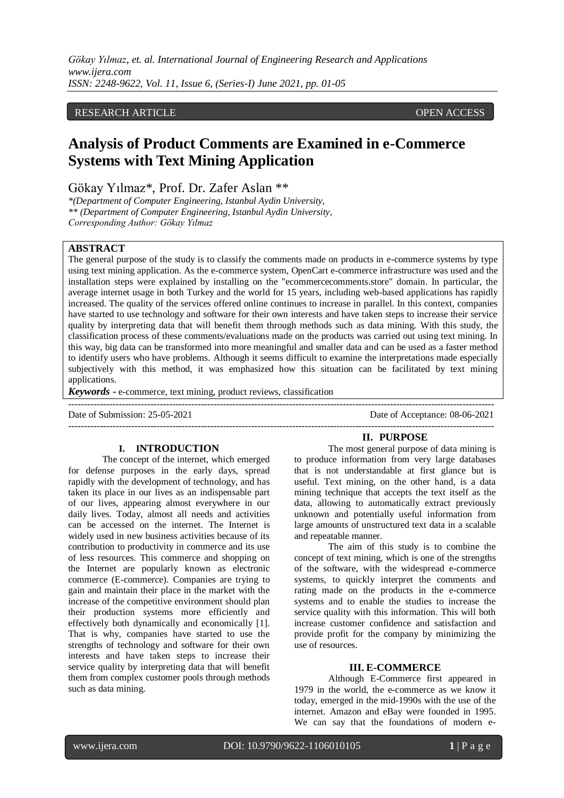*Gökay Yılmaz, et. al. International Journal of Engineering Research and Applications www.ijera.com ISSN: 2248-9622, Vol. 11, Issue 6, (Series-I) June 2021, pp. 01-05*

### RESEARCH ARTICLE **OPEN ACCESS**

# **Analysis of Product Comments are Examined in e-Commerce Systems with Text Mining Application**

Gökay Yılmaz\*, Prof. Dr. Zafer Aslan \*\*

*\*(Department of Computer Engineering, Istanbul Aydin University, \*\* (Department of Computer Engineering, Istanbul Aydin University, Corresponding Author: Gökay Yılmaz*

## **ABSTRACT**

The general purpose of the study is to classify the comments made on products in e-commerce systems by type using text mining application. As the e-commerce system, OpenCart e-commerce infrastructure was used and the installation steps were explained by installing on the "ecommercecomments.store" domain. In particular, the average internet usage in both Turkey and the world for 15 years, including web-based applications has rapidly increased. The quality of the services offered online continues to increase in parallel. In this context, companies have started to use technology and software for their own interests and have taken steps to increase their service quality by interpreting data that will benefit them through methods such as data mining. With this study, the classification process of these comments/evaluations made on the products was carried out using text mining. In this way, big data can be transformed into more meaningful and smaller data and can be used as a faster method to identify users who have problems. Although it seems difficult to examine the interpretations made especially subjectively with this method, it was emphasized how this situation can be facilitated by text mining applications.

*Keywords* **-** e-commerce, text mining, product reviews, classification

Date of Submission: 25-05-2021 Date of Acceptance: 08-06-2021

---------------------------------------------------------------------------------------------------------------------------------------

#### **I. INTRODUCTION**

The concept of the internet, which emerged for defense purposes in the early days, spread rapidly with the development of technology, and has taken its place in our lives as an indispensable part of our lives, appearing almost everywhere in our daily lives. Today, almost all needs and activities can be accessed on the internet. The Internet is widely used in new business activities because of its contribution to productivity in commerce and its use of less resources. This commerce and shopping on the Internet are popularly known as electronic commerce (E-commerce). Companies are trying to gain and maintain their place in the market with the increase of the competitive environment should plan their production systems more efficiently and effectively both dynamically and economically [1]. That is why, companies have started to use the strengths of technology and software for their own interests and have taken steps to increase their service quality by interpreting data that will benefit them from complex customer pools through methods such as data mining.

#### **II. PURPOSE**

The most general purpose of data mining is to produce information from very large databases that is not understandable at first glance but is useful. Text mining, on the other hand, is a data mining technique that accepts the text itself as the data, allowing to automatically extract previously unknown and potentially useful information from large amounts of unstructured text data in a scalable and repeatable manner.

The aim of this study is to combine the concept of text mining, which is one of the strengths of the software, with the widespread e-commerce systems, to quickly interpret the comments and rating made on the products in the e-commerce systems and to enable the studies to increase the service quality with this information. This will both increase customer confidence and satisfaction and provide profit for the company by minimizing the use of resources.

#### **III. E-COMMERCE**

Although E-Commerce first appeared in 1979 in the world, the e-commerce as we know it today, emerged in the mid-1990s with the use of the internet. Amazon and eBay were founded in 1995. We can say that the foundations of modern e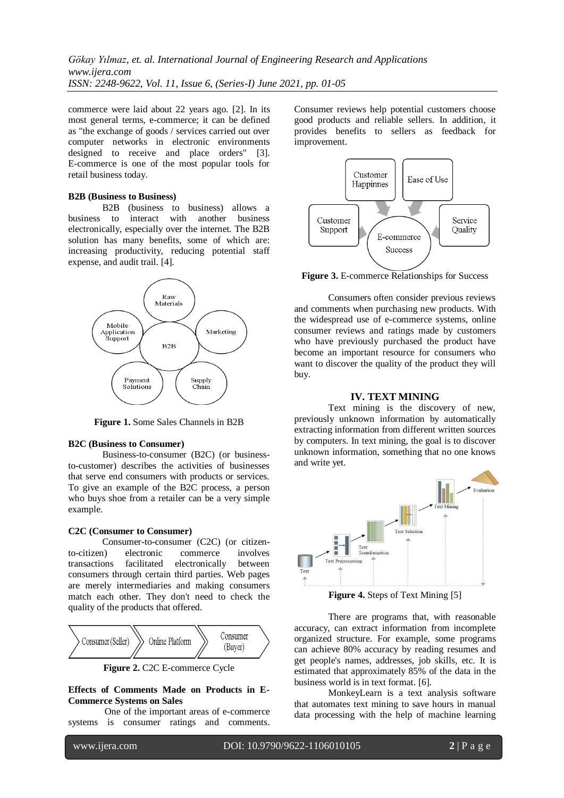commerce were laid about 22 years ago. [2]. In its most general terms, e-commerce; it can be defined as "the exchange of goods / services carried out over computer networks in electronic environments designed to receive and place orders" [3]. E-commerce is one of the most popular tools for retail business today.

#### **B2B (Business to Business)**

B2B (business to business) allows a business to interact with another business electronically, especially over the internet. The B2B solution has many benefits, some of which are: increasing productivity, reducing potential staff expense, and audit trail. [4].



**Figure 1.** Some Sales Channels in B2B

#### **B2C (Business to Consumer)**

Business-to-consumer (B2C) (or businessto-customer) describes the activities of businesses that serve end consumers with products or services. To give an example of the B2C process, a person who buys shoe from a retailer can be a very simple example.

#### **C2C (Consumer to Consumer)**

Consumer-to-consumer (C2C) (or citizento-citizen) electronic commerce involves transactions facilitated electronically between consumers through certain third parties. Web pages are merely intermediaries and making consumers match each other. They don't need to check the quality of the products that offered.



**Figure 2.** C2C E-commerce Cycle

## **Effects of Comments Made on Products in E-Commerce Systems on Sales**

 One of the important areas of e-commerce systems is consumer ratings and comments.

Consumer reviews help potential customers choose good products and reliable sellers. In addition, it provides benefits to sellers as feedback for improvement.



Figure 3. E-commerce Relationships for Success

Consumers often consider previous reviews and comments when purchasing new products. With the widespread use of e-commerce systems, online consumer reviews and ratings made by customers who have previously purchased the product have become an important resource for consumers who want to discover the quality of the product they will buy.

#### **IV. TEXT MINING**

 Text mining is the discovery of new, previously unknown information by automatically extracting information from different written sources by computers. In text mining, the goal is to discover unknown information, something that no one knows and write yet.



**Figure 4.** Steps of Text Mining [5]

There are programs that, with reasonable accuracy, can extract information from incomplete organized structure. For example, some programs can achieve 80% accuracy by reading resumes and get people's names, addresses, job skills, etc. It is estimated that approximately 85% of the data in the business world is in text format. [6].

MonkeyLearn is a text analysis software that automates text mining to save hours in manual data processing with the help of machine learning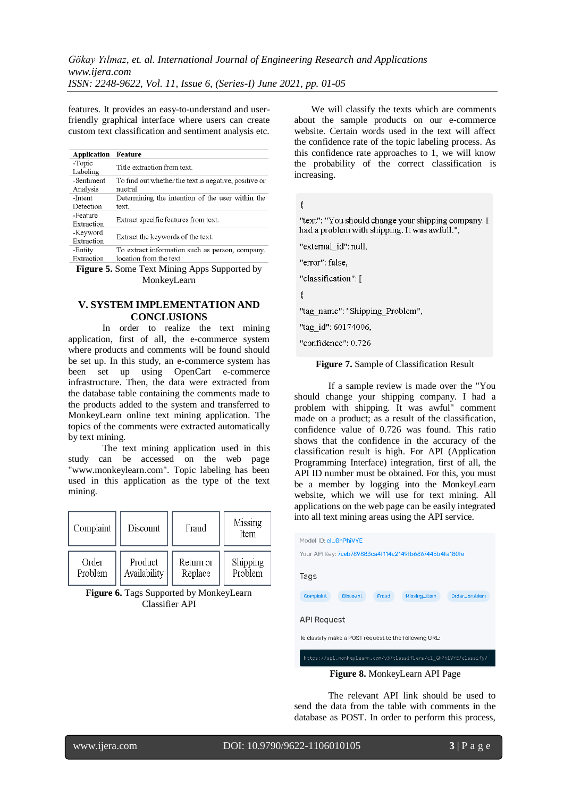features. It provides an easy-to-understand and userfriendly graphical interface where users can create custom text classification and sentiment analysis etc.

| <b>Application</b> | Feature                                               |  |
|--------------------|-------------------------------------------------------|--|
| -Topic             | Title extraction from text.                           |  |
| Labeling           |                                                       |  |
| -Sentiment         | To find out whether the text is negative, positive or |  |
| Analysis           | nuetral.                                              |  |
| -Intent            | Determining the intention of the user within the      |  |
| Detection          | text.                                                 |  |
| -Feature           | Extract specific features from text.                  |  |
| Extraction         |                                                       |  |
| -Keyword           | Extract the keywords of the text.                     |  |
| Extraction         |                                                       |  |
| -Entity            | To extract information such as person, company,       |  |
| Extraction         | location from the text.                               |  |
| --                 |                                                       |  |

**Figure 5.** Some Text Mining Apps Supported by MonkeyLearn

## **V. SYSTEM IMPLEMENTATION AND CONCLUSIONS**

In order to realize the text mining application, first of all, the e-commerce system where products and comments will be found should be set up. In this study, an e-commerce system has been set up using OpenCart e-commerce infrastructure. Then, the data were extracted from the database table containing the comments made to the products added to the system and transferred to MonkeyLearn online text mining application. The topics of the comments were extracted automatically by text mining.

The text mining application used in this study can be accessed on the web page "www.monkeylearn.com". Topic labeling has been used in this application as the type of the text mining.

| Complaint | Discount     | Fraud     | Missing<br>Item |
|-----------|--------------|-----------|-----------------|
| Order     | Product      | Return or | Shipping        |
| Problem   | Availability | Replace   | Problem         |

**Figure 6.** Tags Supported by MonkeyLearn Classifier API

We will classify the texts which are comments about the sample products on our e-commerce website. Certain words used in the text will affect the confidence rate of the topic labeling process. As this confidence rate approaches to 1, we will know the probability of the correct classification is increasing.

 $\left\{ \right.$ 

"text": "You should change your shipping company. I had a problem with shipping. It was awfull.",

"external id": null,

"error": false,

"classification": [

₹

"tag name": "Shipping Problem",

"tag id": 60174006,

"confidence": 0.726

**Figure 7.** Sample of Classification Result

If a sample review is made over the "You should change your shipping company. I had a problem with shipping. It was awful" comment made on a product; as a result of the classification, confidence value of 0.726 was found. This ratio shows that the confidence in the accuracy of the classification result is high. For API (Application Programming Interface) integration, first of all, the API ID number must be obtained. For this, you must be a member by logging into the MonkeyLearn website, which we will use for text mining. All applications on the web page can be easily integrated into all text mining areas using the API service.

| Model ID: cl_GhPhiVYE                                                  |  |  |  |  |  |
|------------------------------------------------------------------------|--|--|--|--|--|
| Your API Key: 7ceb789883ca4f114c2149fb6867445b4fa180fe                 |  |  |  |  |  |
|                                                                        |  |  |  |  |  |
| Tags                                                                   |  |  |  |  |  |
|                                                                        |  |  |  |  |  |
| <b>Discount</b><br>Complaint<br>Fraud<br>Missing_Item<br>Order_problem |  |  |  |  |  |
|                                                                        |  |  |  |  |  |
| <b>API Request</b>                                                     |  |  |  |  |  |
|                                                                        |  |  |  |  |  |
| To classify make a POST request to the following URL:                  |  |  |  |  |  |
|                                                                        |  |  |  |  |  |
| https://api.monkeylearn.com/v3/classifiers/cl GhPhiVYE/classify/       |  |  |  |  |  |
| <b>Figure 8.</b> MonkeyLearn API Page                                  |  |  |  |  |  |

The relevant API link should be used to send the data from the table with comments in the database as POST. In order to perform this process,

www.ijera.com DOI: 10.9790/9622-1106010105 **3** | P a g e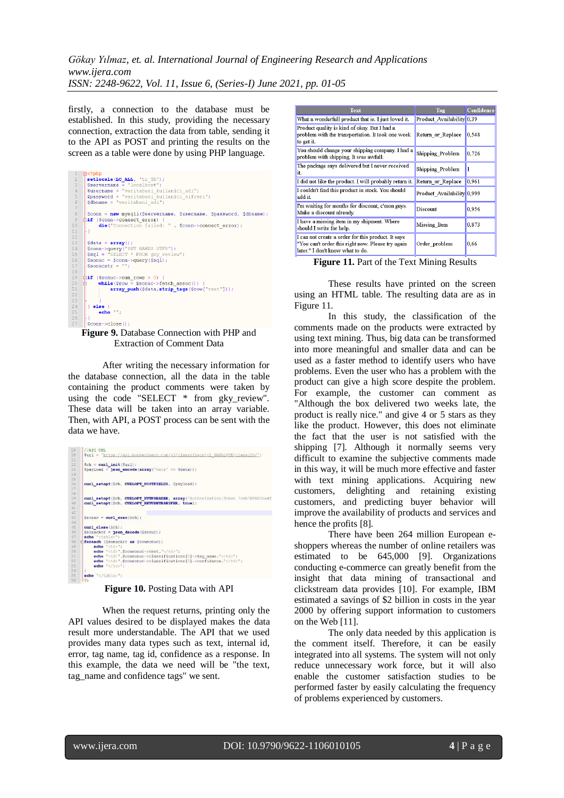*Gökay Yılmaz, et. al. International Journal of Engineering Research and Applications www.ijera.com ISSN: 2248-9622, Vol. 11, Issue 6, (Series-I) June 2021, pp. 01-05*

firstly, a connection to the database must be established. In this study, providing the necessary connection, extraction the data from table, sending it to the API as POST and printing the results on the screen as a table were done by using PHP language.

| 1                       | $\boxminus$ php</th                                              |  |  |  |  |
|-------------------------|------------------------------------------------------------------|--|--|--|--|
| $\overline{c}$          | setlocale (LC ALL, 'tr TR');                                     |  |  |  |  |
| $\overline{\mathbf{3}}$ | $Sservename = "localhost";$                                      |  |  |  |  |
| $\,4$                   | Susername = "veritabani kullanici adi";                          |  |  |  |  |
| 5                       | \$password = "veritabani kullanici sifresi";                     |  |  |  |  |
| 6                       | $\dots$ \$dbname = "veritabani adi";                             |  |  |  |  |
| $\overline{7}$          |                                                                  |  |  |  |  |
| $\overline{8}$          | Sconn = new mysgli (Sservername, Susername, Spassword, Sdbname); |  |  |  |  |
| 9                       | 白if (\$conn->connect error) {                                    |  |  |  |  |
| 10                      | die ("Connection failed: " . \$conn->connect error);             |  |  |  |  |
| 11                      |                                                                  |  |  |  |  |
| 12                      |                                                                  |  |  |  |  |
| 13                      | $\text{Sdata} = \text{array}()$ ;                                |  |  |  |  |
| 14                      | Sconn->query ("SET NAMES UTF8");                                 |  |  |  |  |
| 15                      | $şsql = "SELECT * FROM qky review"$                              |  |  |  |  |
| 16                      | $Ssonuc = Sconn->auerv(Ssal);$                                   |  |  |  |  |
| 17                      | $Sonucstr = "".$                                                 |  |  |  |  |
| 18                      |                                                                  |  |  |  |  |
| 19                      | $\overline{$ if (\$sonuc->num rows > 0) {                        |  |  |  |  |
| 20 <sub>2</sub>         | $while ($ Srow = \$sonuc->fetch assoc()) {                       |  |  |  |  |
| 21                      | array push (\$data, strip tags (\$row["text"]));                 |  |  |  |  |
| 22                      |                                                                  |  |  |  |  |
| 2.3                     |                                                                  |  |  |  |  |
| 2.4                     | $le$ else $\left\{$                                              |  |  |  |  |
| 25                      | $echo$ $"$ ;                                                     |  |  |  |  |
| 26                      |                                                                  |  |  |  |  |
| 27                      | $Conm-1$ $conAl$                                                 |  |  |  |  |

**Figure 9.** Database Connection with PHP and Extraction of Comment Data

After writing the necessary information for the database connection, all the data in the table containing the product comments were taken by using the code "SELECT \* from gky\_review". These data will be taken into an array variable. Then, with API, a POST process can be sent with the data we have.

| 29       | //API URL                                                                          |                                                |
|----------|------------------------------------------------------------------------------------|------------------------------------------------|
| 30       | \$url = 'https://api.monkevlearn.com/v3/classifiers/cl GhPhiVYE/classifv/';        |                                                |
| 31       |                                                                                    |                                                |
| 32       | $Sch = curl init(Surl):$                                                           |                                                |
| 33       | $$pavidad = json encode (array("data" => Sdata))$ ;                                |                                                |
| 34       |                                                                                    |                                                |
| 35       |                                                                                    |                                                |
| 36       | curl setopt (\$ch, CURLOPT POSTFIELDS, \$payload) ;                                |                                                |
| 37<br>38 |                                                                                    |                                                |
| 39       | curl setopt (\$ch, CURLOPT HTTPHEADER, array ('Authorization: Token 7ceb789883ca4f |                                                |
| 40       | curl setopt (\$ch, CURLOPT RETURNTRANSFER, true) ;                                 |                                                |
| 41       |                                                                                    |                                                |
| 42       |                                                                                    |                                                |
| 43       | $$some = curl e$ $exc(Sch)$ ;                                                      |                                                |
| 44       |                                                                                    |                                                |
| 45       | curl close (\$ch) ;                                                                |                                                |
| 46       | $SsonucArr =$ json decode (Ssonuc) ;                                               |                                                |
| 47       | echo " <table>":</table>                                                           |                                                |
| 48       | foreach (SsonucArr as Srowsonuc) (                                                 |                                                |
| 49       | $echo$ " $''$ ;                                                                    |                                                |
| 50       | echo " <td>".Srowsonuc-&gt;text."</td> ";                                          | ".Srowsonuc->text."                            |
| 51       | echo " <td>".\$rowsonuc-&gt;classifications[0]-&gt;tag name."</td> ";              | ".\$rowsonuc->classifications[0]->tag name."   |
| 52       | echo " <td>".\$rowsonuc-&gt;classifications[0]-&gt;confidence."</td> ";            | ".\$rowsonuc->classifications[0]->confidence." |
| 53       | echo "                                                                             |                                                |
| 54       |                                                                                    |                                                |
| 55<br>56 | $echo$ "                                                                           |                                                |

";  
 $-2>$ |  |  |
**Figure 10.** Posting Data with API

When the request returns, printing only the API values desired to be displayed makes the data result more understandable. The API that we used provides many data types such as text, internal id, error, tag name, tag id, confidence as a response. In this example, the data we need will be "the text, tag\_name and confidence tags" we sent.

| Text                                                                                                                                        | Tag                                     | Confidence |
|---------------------------------------------------------------------------------------------------------------------------------------------|-----------------------------------------|------------|
| What a wonderfull product that is. I just loved it.                                                                                         | Product Availability 0,39               |            |
| Product quality is kind of okay. But I had a<br>problem with the transportation. It took one week<br>to get it.                             | Return or Replace                       | 0,548      |
| You should change your shipping company. I had a<br>problem with shipping. It was awfull.                                                   | Shipping Problem                        | 0.726      |
| The package says delivered but I never received<br>it.                                                                                      | Shipping Problem                        |            |
| I did not like the product. I will probably return it.                                                                                      | Return or Replace                       | 0,961      |
| I couldn't find this product in stock. You should<br>add it.                                                                                | Product Availability <sup>1</sup> 0,999 |            |
| I'm waiting for months for discount, c'mon guys.<br>Make a discount already.                                                                | Discount                                | 0,956      |
| I have a missing item in my shipment. Where<br>should I write for help.                                                                     | Missing Item                            | 0,873      |
| I can not create a order for this product. It says<br>"You can't order this right now. Please try again<br>later." I don't know what to do. | Order problem                           | 0.66       |

**Figure 11.** Part of the Text Mining Results

These results have printed on the screen using an HTML table. The resulting data are as in Figure 11.

In this study, the classification of the comments made on the products were extracted by using text mining. Thus, big data can be transformed into more meaningful and smaller data and can be used as a faster method to identify users who have problems. Even the user who has a problem with the product can give a high score despite the problem. For example, the customer can comment as "Although the box delivered two weeks late, the product is really nice." and give 4 or 5 stars as they like the product. However, this does not eliminate the fact that the user is not satisfied with the shipping [7]. Although it normally seems very difficult to examine the subjective comments made in this way, it will be much more effective and faster with text mining applications. Acquiring new customers, delighting and retaining existing customers, and predicting buyer behavior will improve the availability of products and services and hence the profits [8].

There have been 264 million European eshoppers whereas the number of online retailers was estimated to be 645,000 [9]. Organizations conducting e-commerce can greatly benefit from the insight that data mining of transactional and clickstream data provides [10]. For example, IBM estimated a savings of \$2 billion in costs in the year 2000 by offering support information to customers on the Web [11].

The only data needed by this application is the comment itself. Therefore, it can be easily integrated into all systems. The system will not only reduce unnecessary work force, but it will also enable the customer satisfaction studies to be performed faster by easily calculating the frequency of problems experienced by customers.